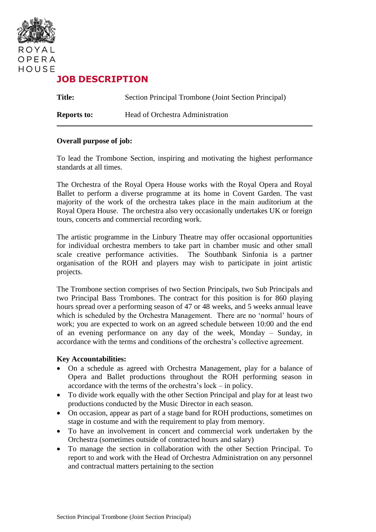

# **JOB DESCRIPTION**

**Title:** Section Principal Trombone (Joint Section Principal) **Reports to:** Head of Orchestra Administration

#### **Overall purpose of job:**

To lead the Trombone Section, inspiring and motivating the highest performance standards at all times.

The Orchestra of the Royal Opera House works with the Royal Opera and Royal Ballet to perform a diverse programme at its home in Covent Garden. The vast majority of the work of the orchestra takes place in the main auditorium at the Royal Opera House. The orchestra also very occasionally undertakes UK or foreign tours, concerts and commercial recording work.

The artistic programme in the Linbury Theatre may offer occasional opportunities for individual orchestra members to take part in chamber music and other small scale creative performance activities. The Southbank Sinfonia is a partner organisation of the ROH and players may wish to participate in joint artistic projects.

The Trombone section comprises of two Section Principals, two Sub Principals and two Principal Bass Trombones. The contract for this position is for 860 playing hours spread over a performing season of 47 or 48 weeks, and 5 weeks annual leave which is scheduled by the Orchestra Management. There are no 'normal' hours of work; you are expected to work on an agreed schedule between 10:00 and the end of an evening performance on any day of the week, Monday – Sunday, in accordance with the terms and conditions of the orchestra's collective agreement.

#### **Key Accountabilities:**

- On a schedule as agreed with Orchestra Management, play for a balance of Opera and Ballet productions throughout the ROH performing season in accordance with the terms of the orchestra's lock – in policy.
- To divide work equally with the other Section Principal and play for at least two productions conducted by the Music Director in each season.
- On occasion, appear as part of a stage band for ROH productions, sometimes on stage in costume and with the requirement to play from memory.
- To have an involvement in concert and commercial work undertaken by the Orchestra (sometimes outside of contracted hours and salary)
- To manage the section in collaboration with the other Section Principal. To report to and work with the Head of Orchestra Administration on any personnel and contractual matters pertaining to the section